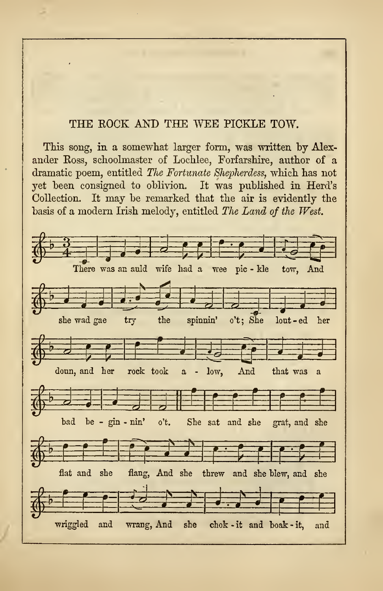## THE ROCK AND THE WEE PICKLE TOW.

This song, in a somewhat larger form, was written by Alex ander Ross, schoolmaster of Lochlee, Forfarshire, author of a dramatic poem, entitled The Fortunate Shepherdess, which has not yet been consigned to oblivion. It was published in Herd's Collection. It may be remarked that the air is evidently the basis of a modern Irish melody, entitled The Land of the West.

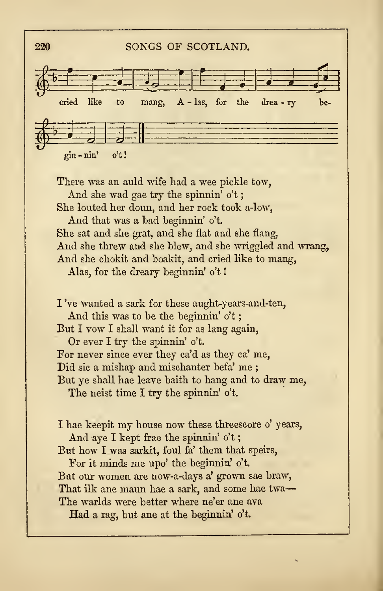

There was an auld wife had a wee pickle tow, And she wad gae try the spinnin' o't She lonted her doun, and her rock took a-low, And that was <sup>a</sup> bad beginnin' o't. She sat and she grat, and she flat and she flang, And she threw and she blew, and she wriggled and wrang, And she chokit and boakit, and cried like to mang, Alas, for the dreary beginnin' o't

I 've wanted a sark for these aught-years-and-ten, And this was to be the beginnin' o't; But I vow I shall want it for as lang again, Or ever I try the spinnin' o't. For never since ever they ca'd as they ca' me, Did sic <sup>a</sup> mishap and mischanter befa' me ; But ye shall hae leave baith to hang and to draw me, The neist time <sup>I</sup> try the spinnin' o't.

<sup>I</sup> hae keepit my house now these threescore o' years, And ave I kept frae the spinnin' o't; But how I was sarkit, foul fa' them that speirs, For it minds me upo' the beginnin' o't. But our women are now-a-days a' grown sae braw, That ilk ane maun hae a sark, and some hae twa The warlds were better where ne'er ane ava Had a rag, but ane at the beginnin' o't.